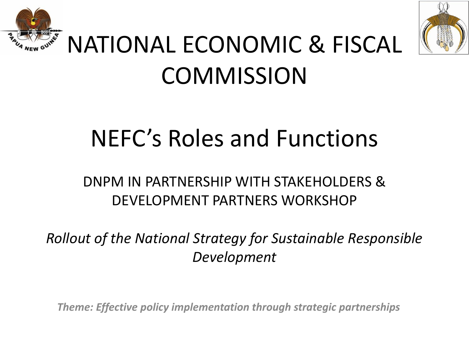



## NATIONAL ECONOMIC & FISCAL **COMMISSION**

## NEFC's Roles and Functions

### DNPM IN PARTNERSHIP WITH STAKEHOLDERS & DEVELOPMENT PARTNERS WORKSHOP

*Rollout of the National Strategy for Sustainable Responsible Development*

*Theme: Effective policy implementation through strategic partnerships*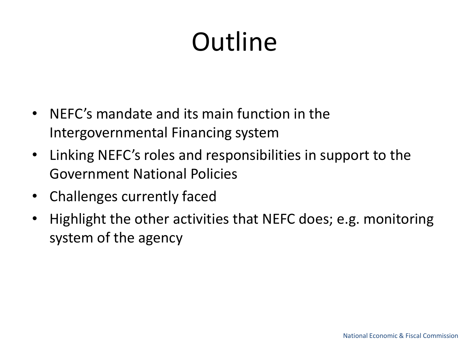# **Outline**

- NEFC's mandate and its main function in the Intergovernmental Financing system
- Linking NEFC's roles and responsibilities in support to the Government National Policies
- Challenges currently faced
- Highlight the other activities that NEFC does; e.g. monitoring system of the agency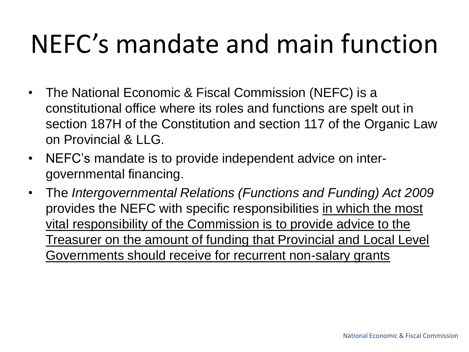## NEFC's mandate and main function

- The National Economic & Fiscal Commission (NEFC) is a constitutional office where its roles and functions are spelt out in section 187H of the Constitution and section 117 of the Organic Law on Provincial & LLG.
- NEFC's mandate is to provide independent advice on intergovernmental financing.
- The *Intergovernmental Relations (Functions and Funding) Act 2009*  provides the NEFC with specific responsibilities in which the most vital responsibility of the Commission is to provide advice to the Treasurer on the amount of funding that Provincial and Local Level Governments should receive for recurrent non-salary grants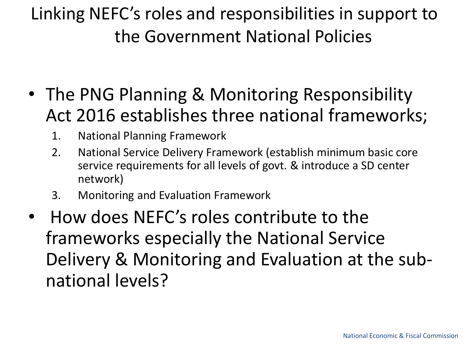- The PNG Planning & Monitoring Responsibility Act 2016 establishes three national frameworks;
	- 1. National Planning Framework
	- 2. National Service Delivery Framework (establish minimum basic core service requirements for all levels of govt. & introduce a SD center network)
	- 3. Monitoring and Evaluation Framework
- How does NEFC's roles contribute to the frameworks especially the National Service Delivery & Monitoring and Evaluation at the subnational levels?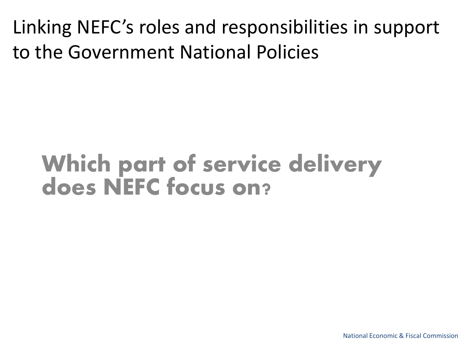### Which part of service delivery does NEFC focus on?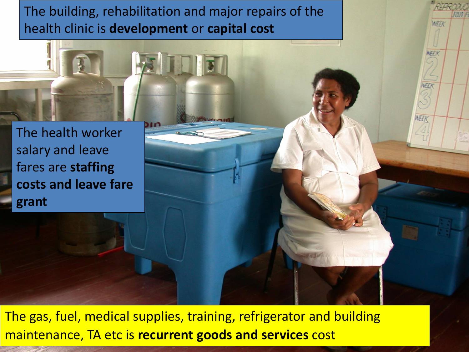The building, rehabilitation and major repairs of the health clinic is **development** or **capital cost**

WEEK

**VEER** 

WEEK

The health worker salary and leave fares are **staffing costs and leave fare grant**

The gas, fuel, medical supplies, training, refrigerator and building maintenance, TA etc is **recurrent goods and services** cost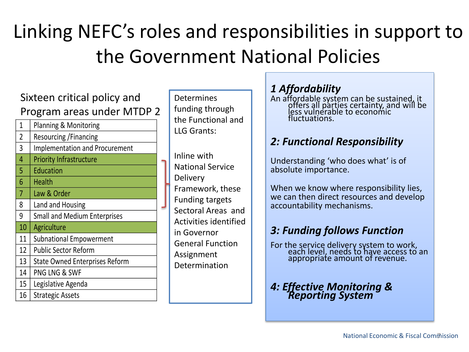#### Sixteen critical policy and Program areas under MTDP 2

1 | Planning & Monitoring 2 Resourcing /Financing 3 Implementation and Procurement 4 Priority Infrastructure 5 Education 6 Health 7 Law & Order 8 Land and Housing 9 Small and Medium Enterprises 10 | Agriculture 11 | Subnational Empowerment 12 Public Sector Reform 13 State Owned Enterprises Reform 14 PNG LNG & SWF 15 Legislative Agenda 16 | Strategic Assets

**Determines** funding through the Functional and LLG Grants:

Inline with National Service Delivery Framework, these Funding targets Sectoral Areas and Activities identified in Governor General Function Assignment Determination

#### *1 Affordability*

An affordable system can be sustained, it offers all parties certainty, and will be less vulnerable to economic fluctuations.

#### *2: Functional Responsibility*

Understanding 'who does what' is of absolute importance.

When we know where responsibility lies, we can then direct resources and develop accountability mechanisms.

#### *3: Funding follows Function*

For the service delivery system to work, each level, needs to have access to an appropriate amount of revenue.

#### *4: Effective Monitoring & Reporting System*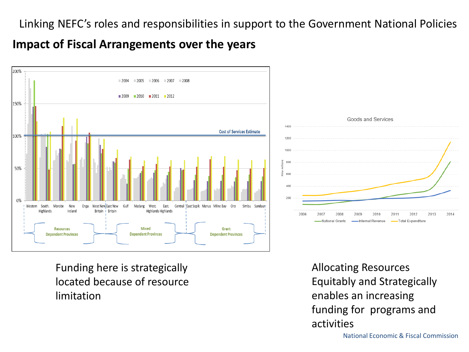#### **Impact of Fiscal Arrangements over the years**





Funding here is strategically located because of resource limitation

Allocating Resources Equitably and Strategically enables an increasing funding for programs and activities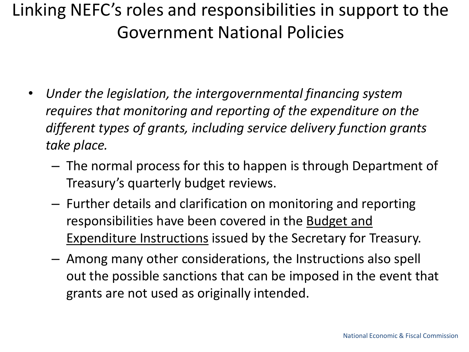- *Under the legislation, the intergovernmental financing system requires that monitoring and reporting of the expenditure on the different types of grants, including service delivery function grants take place.* 
	- The normal process for this to happen is through Department of Treasury's quarterly budget reviews.
	- Further details and clarification on monitoring and reporting responsibilities have been covered in the Budget and Expenditure Instructions issued by the Secretary for Treasury.
	- Among many other considerations, the Instructions also spell out the possible sanctions that can be imposed in the event that grants are not used as originally intended.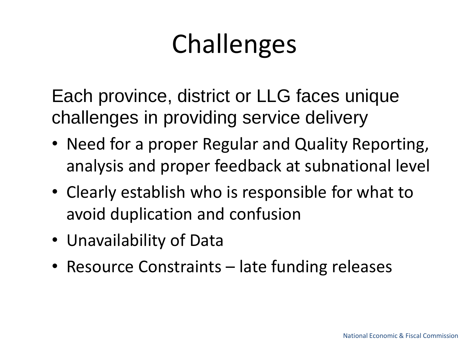# Challenges

Each province, district or LLG faces unique challenges in providing service delivery

- Need for a proper Regular and Quality Reporting, analysis and proper feedback at subnational level
- Clearly establish who is responsible for what to avoid duplication and confusion
- Unavailability of Data
- Resource Constraints late funding releases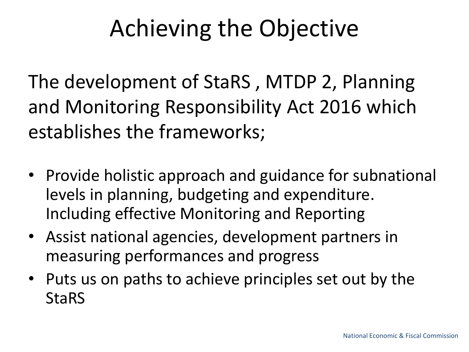## Achieving the Objective

The development of StaRS , MTDP 2, Planning and Monitoring Responsibility Act 2016 which establishes the frameworks;

- Provide holistic approach and guidance for subnational levels in planning, budgeting and expenditure. Including effective Monitoring and Reporting
- Assist national agencies, development partners in measuring performances and progress
- Puts us on paths to achieve principles set out by the **StaRS**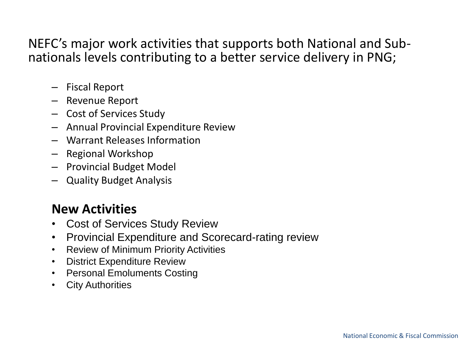#### NEFC's major work activities that supports both National and Subnationals levels contributing to a better service delivery in PNG;

- Fiscal Report
- Revenue Report
- Cost of Services Study
- Annual Provincial Expenditure Review
- Warrant Releases Information
- Regional Workshop
- Provincial Budget Model
- Quality Budget Analysis

#### **New Activities**

- Cost of Services Study Review
- Provincial Expenditure and Scorecard-rating review
- Review of Minimum Priority Activities
- District Expenditure Review
- Personal Emoluments Costing
- City Authorities